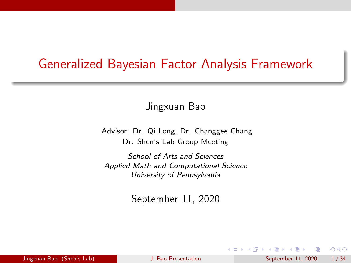### <span id="page-0-0"></span>Generalized Bayesian Factor Analysis Framework

Jingxuan Bao

Advisor: Dr. Qi Long, Dr. Changgee Chang Dr. Shen's Lab Group Meeting

School of Arts and Sciences Applied Math and Computational Science University of Pennsylvania

September 11, 2020

 $\Omega$ 

 $\mathcal{A} \subset \mathbb{R}^n \times \mathcal{A} \subset \mathbb{R}^n \times \mathcal{A}$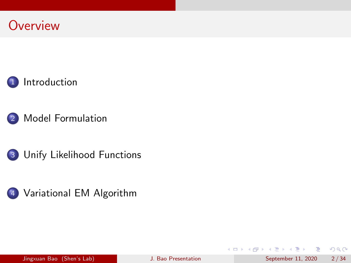### **Overview**





2 [Model Formulation](#page-5-0)





 $299$ 

目

イロト イ部 トイモ トイモト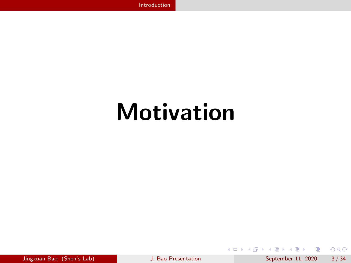## <span id="page-2-0"></span>Motivation

ヨメ メラ

 $299$ 

э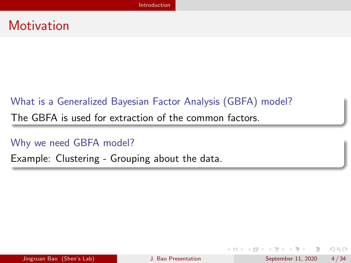### **Motivation**

### What is a Generalized Bayesian Factor Analysis (GBFA) model?

The GBFA is used for extraction of the common factors.

Why we need GBFA model?

Example: Clustering - Grouping about the data.

目

 $QQ$ 

 $\mathcal{A} \oplus \mathcal{B}$  and  $\mathcal{A} \oplus \mathcal{B}$  and  $\mathcal{B} \oplus \mathcal{B}$ 

4 0 F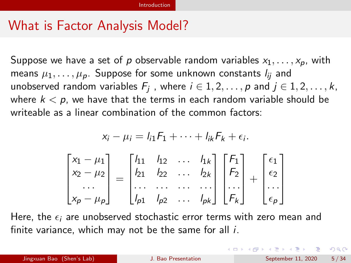### What is Factor Analysis Model?

Suppose we have a set of p observable random variables  $x_1, \ldots, x_p$ , with means  $\mu_1, \ldots, \mu_p$ . Suppose for some unknown constants  $l_{ii}$  and unobserved random variables  $F_j$  , where  $i\in {1,2,\ldots,p}$  and  $j\in{1,2,\ldots,k},$ where  $k < p$ , we have that the terms in each random variable should be writeable as a linear combination of the common factors:

$$
x_i - \mu_i = l_{i1}F_1 + \dots + l_{ik}F_k + \epsilon_i.
$$
  

$$
\begin{bmatrix} x_1 - \mu_1 \\ x_2 - \mu_2 \\ \dots \\ x_p - \mu_p \end{bmatrix} = \begin{bmatrix} l_{11} & l_{12} & \dots & l_{1k} \\ l_{21} & l_{22} & \dots & l_{2k} \\ \dots & \dots & \dots & \dots \\ l_{p1} & l_{p2} & \dots & l_{pk} \end{bmatrix} \begin{bmatrix} F_1 \\ F_2 \\ \dots \\ F_k \end{bmatrix} + \begin{bmatrix} \epsilon_1 \\ \epsilon_2 \\ \dots \\ \epsilon_p \end{bmatrix}
$$

Here, the  $\epsilon_i$  are unobserved stochastic error terms with zero mean and finite variance, which may not be the same for all  $i$ .

Jingxuan Bao (Shen's Lab) [J. Bao Presentation](#page-0-0) September 11, 2020 5 / 34

 $\Omega$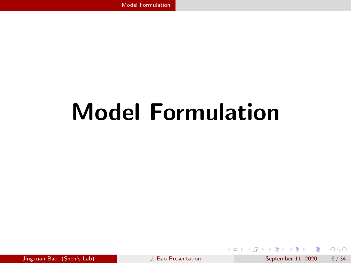化重新润滑

<span id="page-5-0"></span>**← ロ → → ← 何 →** 

 $QQ$ 

э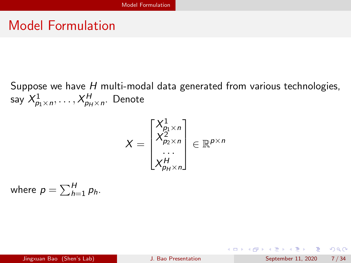Suppose we have H multi-modal data generated from various technologies, say  $X^1_{p_1 \times n}, \ldots, X^H_{p_H \times n}$ . Denote

$$
X = \begin{bmatrix} X_{p_1 \times n}^1 \\ X_{p_2 \times n}^2 \\ \dots \\ X_{p_H \times n}^H \end{bmatrix} \in \mathbb{R}^{p \times n}
$$

where  $p = \sum_{h=1}^{H} p_h$ .

 $\Omega$ 

 $A \equiv \begin{pmatrix} 1 & 0 & 0 \\ 0 & 1 & 0 \\ 0 & 0 & 0 \end{pmatrix} \in A \Rightarrow A \equiv \begin{pmatrix} 1 & 0 & 0 \\ 0 & 1 & 0 \\ 0 & 0 & 0 \end{pmatrix} \in A$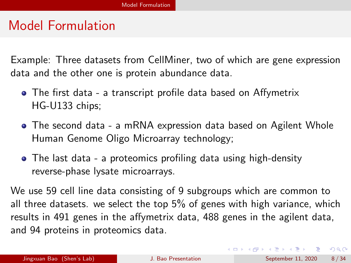Example: Three datasets from CellMiner, two of which are gene expression data and the other one is protein abundance data.

- The first data a transcript profile data based on Affymetrix HG-U133 chips;
- The second data a mRNA expression data based on Agilent Whole Human Genome Oligo Microarray technology;
- The last data a proteomics profiling data using high-density reverse-phase lysate microarrays.

We use 59 cell line data consisting of 9 subgroups which are common to all three datasets. we select the top 5% of genes with high variance, which results in 491 genes in the affymetrix data, 488 genes in the agilent data, and 94 proteins in proteomics data.

 $QQ$ 

イロト イ団 トイ ヨト イヨト 一番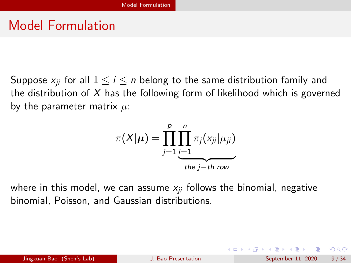Suppose  $x_{ii}$  for all  $1 \le i \le n$  belong to the same distribution family and the distribution of  $X$  has the following form of likelihood which is governed by the parameter matrix  $\mu$ :

$$
\pi(X|\mu) = \prod_{j=1}^p \prod_{\substack{i=1 \ i \text{the } j \text{-th row}}}^n \pi_j(x_{ji}|\mu_{ji})
$$

where in this model, we can assume  $x_{ii}$  follows the binomial, negative binomial, Poisson, and Gaussian distributions.

 $\Omega$ 

イロト イ部 トイヨ トイヨト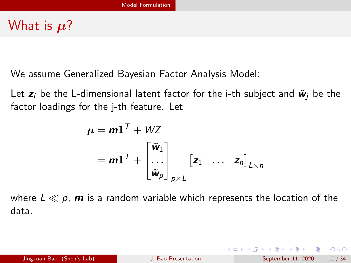### What is  $\mu$ ?

We assume Generalized Bayesian Factor Analysis Model:

Let  $z_i$  be the L-dimensional latent factor for the i-th subject and  $\tilde{w}_i$  be the factor loadings for the j-th feature. Let

$$
\mu = m\mathbf{1}^T + WZ
$$
  
=  $m\mathbf{1}^T + \begin{bmatrix} \tilde{\mathbf{w}}_1 \\ \cdots \\ \tilde{\mathbf{w}}_p \end{bmatrix}_{p \times L} [z_1 \cdots z_n]_{L \times n}$ 

where  $L \ll p$ , **m** is a random variable which represents the location of the data.

- 30

 $\Omega$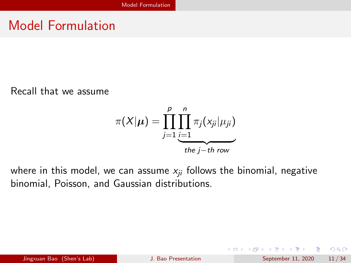Recall that we assume

$$
\pi(X|\mu) = \prod_{j=1}^p \prod_{\substack{i=1 \ i \text{the } j \text{-th row}}}^n \pi_j(x_{ji}|\mu_{ji})
$$

where in this model, we can assume  $x_{ii}$  follows the binomial, negative binomial, Poisson, and Gaussian distributions.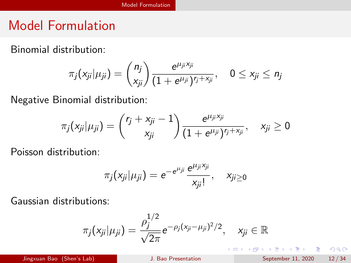Binomial distribution:

$$
\pi_j(x_{ji}|\mu_{ji}) = {n_j \choose x_{ji}} \frac{e^{\mu_{ji}x_{ji}}}{(1+e^{\mu_{ji}})^{r_j+x_{ji}}}, \quad 0 \le x_{ji} \le n_j
$$

Negative Binomial distribution:

$$
\pi_j(x_{ji}|\mu_{ji}) = {r_j + x_{ji} - 1 \choose x_{ji}} \frac{e^{\mu_{ji} x_{ji}}}{(1 + e^{\mu_{ji}})^{r_j + x_{ji}}}, \quad x_{ji} \ge 0
$$

Poisson distribution:

$$
\pi_j(x_{ji}|\mu_{ji})=e^{-e^{\mu_{ji}}}\frac{e^{\mu_{ji}x_{ji}}}{x_{ji}!},\quad x_{ji\geq 0}
$$

Gaussian distributions:

$$
\pi_j(x_{ji}|\mu_{ji}) = \frac{\rho_j^{1/2}}{\sqrt{2\pi}}e^{-\rho_j(x_{ji}-\mu_{ji})^2/2}, \quad x_{ji} \in \mathbb{R}
$$

Jingxuan Bao (Shen's Lab) [J. Bao Presentation](#page-0-0) September 11, 2020 12 / 34

 $\Rightarrow$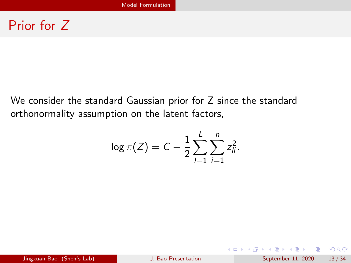### Prior for Z

We consider the standard Gaussian prior for Z since the standard orthonormality assumption on the latent factors,

$$
\log \pi(Z) = C - \frac{1}{2} \sum_{l=1}^{L} \sum_{i=1}^{n} z_{li}^{2}.
$$

 $ORO$ G.

 $4$  ロ }  $4$   $\overline{m}$  }  $4$   $\overline{m}$  }  $4$   $\overline{m}$  }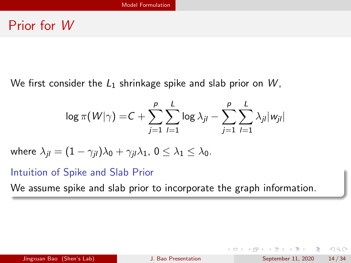### Prior for W

We first consider the  $L_1$  shrinkage spike and slab prior on W,

$$
\log \pi(W|\gamma) = C + \sum_{j=1}^{p} \sum_{l=1}^{L} \log \lambda_{jl} - \sum_{j=1}^{p} \sum_{l=1}^{L} \lambda_{jl} |w_{jl}|
$$

where 
$$
\lambda_{jl} = (1 - \gamma_{jl})\lambda_0 + \gamma_{jl}\lambda_1
$$
,  $0 \le \lambda_1 \le \lambda_0$ .

Intuition of Spike and Slab Prior

We assume spike and slab prior to incorporate the graph information.

G.

 $QQ$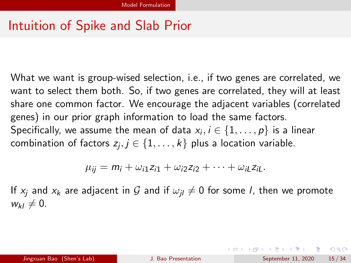## Intuition of Spike and Slab Prior

What we want is group-wised selection, i.e., if two genes are correlated, we want to select them both. So, if two genes are correlated, they will at least share one common factor. We encourage the adjacent variables (correlated genes) in our prior graph information to load the same factors. Specifically, we assume the mean of data  $\mathsf{x}_i, i \in \{1, \dots, p\}$  is a linear combination of factors  $z_j, j\in\{1,\ldots,k\}$  plus a location variable.

$$
\mu_{ij} = m_i + \omega_{i1} z_{i1} + \omega_{i2} z_{i2} + \cdots + \omega_{iL} z_{iL}.
$$

If  $x_i$  and  $x_k$  are adjacent in G and if  $\omega_{ij} \neq 0$  for some l, then we promote  $w_{kl} \neq 0.$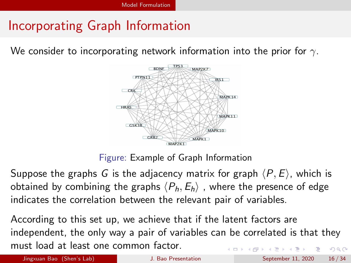## Incorporating Graph Information

We consider to incorporating network information into the prior for  $\gamma$ .



Figure: Example of Graph Information

Suppose the graphs G is the adjacency matrix for graph  $\langle P, E \rangle$ , which is obtained by combining the graphs  $\langle P_h, E_h \rangle$ , where the presence of edge indicates the correlation between the relevant pair of variables.

According to this set up, we achieve that if the latent factors are independent, the only way a pair of variables can be correlated is that they must load at least one common factor.  $QQ$ 

Jingxuan Bao (Shen's Lab) **J.** Bao Presentation September 11, 2020 16/34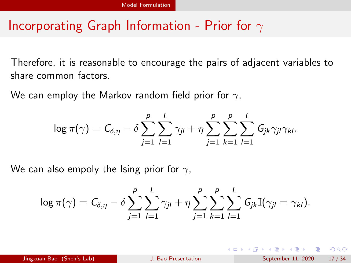## Incorporating Graph Information - Prior for  $\gamma$

Therefore, it is reasonable to encourage the pairs of adjacent variables to share common factors.

We can employ the Markov random field prior for  $\gamma$ ,

$$
\log \pi(\gamma) = C_{\delta,\eta} - \delta \sum_{j=1}^p \sum_{l=1}^L \gamma_{jl} + \eta \sum_{j=1}^p \sum_{k=1}^p \sum_{l=1}^L G_{jk} \gamma_{jl} \gamma_{kl}.
$$

We can also empoly the Ising prior for  $\gamma$ ,

$$
\log \pi(\gamma) = C_{\delta,\eta} - \delta \sum_{j=1}^p \sum_{l=1}^L \gamma_{jl} + \eta \sum_{j=1}^p \sum_{k=1}^p \sum_{l=1}^L G_{jk} \mathbb{I}(\gamma_{jl} = \gamma_{kl}).
$$

 $\Omega$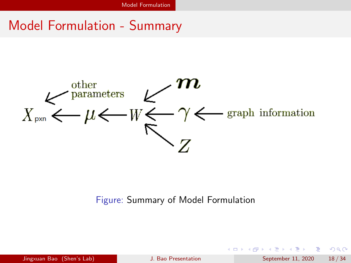### Model Formulation - Summary



#### Figure: Summary of Model Formulation

| Jingxuan Bao (Shen's Lab) |  |  |
|---------------------------|--|--|
|                           |  |  |

Jingxuan Bao (Shen's Lab) [J. Bao Presentation](#page-0-0) September 11, 2020 18 / 34

**E** 

 $\Omega$ 

イロト イ押 トイヨ トイヨト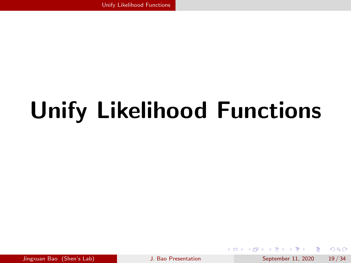<span id="page-18-0"></span>化重新润滑脂 Jingxuan Bao (Shen's Lab) [J. Bao Presentation](#page-0-0) September 11, 2020 19 / 34

4 0 F

 $QQQ$ 

э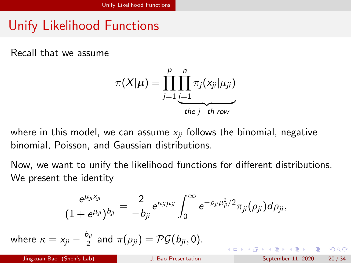Recall that we assume

$$
\pi(X|\mu) = \prod_{j=1}^p \prod_{\substack{i=1 \ i \text{the } j \text{-th row}}}^n \pi_j(x_{ji}|\mu_{ji})
$$

where in this model, we can assume  $x_{ii}$  follows the binomial, negative binomial, Poisson, and Gaussian distributions.

Now, we want to unify the likelihood functions for different distributions. We present the identity

$$
\frac{e^{\mu_{ji}x_{ji}}}{(1+e^{\mu_{ji}})^{b_{ji}}}=\frac{2}{-b_{ji}}e^{\kappa_{ji}\mu_{ji}}\int_0^\infty e^{-\rho_{ji}\mu_{ji}^2/2}\pi_{ji}(\rho_{ji})d\rho_{ji},
$$
\nwhere  $\kappa = x_{ji} - \frac{b_{ji}}{2}$  and  $\pi(\rho_{ji}) = \mathcal{PG}(b_{ji}, 0).$   
\n
$$
\text{Jingxuan Boo (Shen's Lab)}
$$
\n
$$
\text{J. Boo Presentation}
$$
\n
$$
\text{September 11, 2020} = 20/34
$$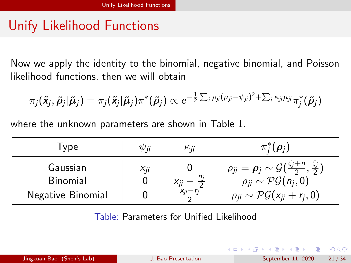Now we apply the identity to the binomial, negative binomial, and Poisson likelihood functions, then we will obtain

$$
\pi_j(\tilde{\mathbf{x}}_j,\tilde{\boldsymbol{\rho}}_j|\tilde{\boldsymbol{\mu}}_j) = \pi_j(\tilde{\mathbf{x}}_j|\tilde{\boldsymbol{\mu}}_j)\pi^*(\tilde{\boldsymbol{\rho}}_j) \propto e^{-\frac{1}{2}\sum_i \rho_{ji}(\mu_{ji}-\psi_{ji})^2 + \sum_i \kappa_{ji} \mu_{ji}}\pi^*_j(\tilde{\boldsymbol{\rho}}_j)
$$

where the unknown parameters are shown in Table [1.](#page-20-0)

| I ype                | $\psi$ ii | Кij                      | $\pi_i^*(\rho_i)$                                                                                                      |
|----------------------|-----------|--------------------------|------------------------------------------------------------------------------------------------------------------------|
| Gaussian<br>Binomial | $X_{ii}$  | $x_{ii} - \frac{n_i}{2}$ | $\rho_{ji} = \rho_j \sim \mathcal{G}(\frac{\zeta_j+n}{2}, \frac{\zeta_j}{2})$<br>$\rho_{ii} \sim \mathcal{PG}(n_i, 0)$ |
| Negative Binomial    |           | $X_{ii} - r_i$           | $\rho_{ii} \sim \mathcal{PG}(x_{ii} + r_i, 0)$                                                                         |

<span id="page-20-0"></span>Table: Parameters for Unified Likelihood

G.  $\Omega$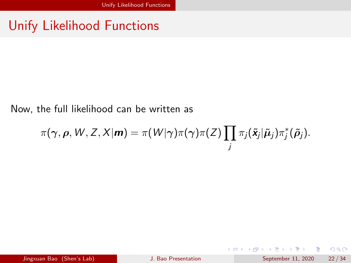#### Now, the full likelihood can be written as

$$
\pi(\boldsymbol{\gamma},\boldsymbol{\rho},W,Z,X|\boldsymbol{m})=\pi(W|\boldsymbol{\gamma})\pi(\boldsymbol{\gamma})\pi(Z)\prod_j\pi_j(\tilde{\mathbf{x}}_j|\tilde{\boldsymbol{\mu}}_j)\pi_j^*(\tilde{\boldsymbol{\rho}}_j).
$$

重

 $2990$ 

イロト イ部 トイモ トイモト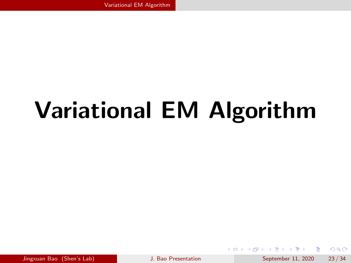# <span id="page-22-0"></span>Variational EM Algorithm

Jingxuan Bao (Shen's Lab) [J. Bao Presentation](#page-0-0) September 11, 2020 23 / 34

イロト イ押ト イヨト イヨト

 $QQ$ 

目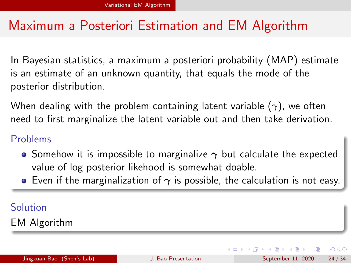### Maximum a Posteriori Estimation and EM Algorithm

In Bayesian statistics, a maximum a posteriori probability (MAP) estimate is an estimate of an unknown quantity, that equals the mode of the posterior distribution.

When dealing with the problem containing latent variable  $(\gamma)$ , we often need to first marginalize the latent variable out and then take derivation.

### Problems

- Somehow it is impossible to marginalize  $\gamma$  but calculate the expected value of log posterior likehood is somewhat doable.
- **E** Even if the marginalization of  $\gamma$  is possible, the calculation is not easy.

### Solution

EM Algorithm

Jingxuan Bao (Shen's Lab) [J. Bao Presentation](#page-0-0) September 11, 2020 24 / 34

 $200$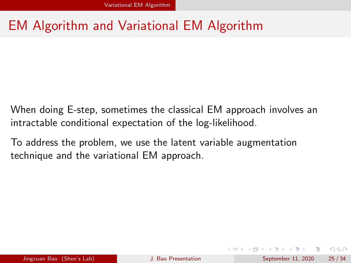## EM Algorithm and Variational EM Algorithm

When doing E-step, sometimes the classical EM approach involves an intractable conditional expectation of the log-likelihood.

To address the problem, we use the latent variable augmentation technique and the variational EM approach.

 $\Omega$ 

イロト イ何 トイヨト イヨト ニヨー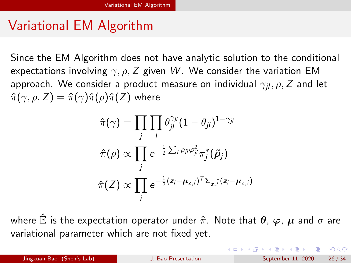### Variational EM Algorithm

Since the EM Algorithm does not have analytic solution to the conditional expectations involving  $\gamma$ ,  $\rho$ , Z given W. We consider the variation EM approach. We consider a product measure on individual  $\gamma_{il}, \rho, Z$  and let  $\hat{\pi}(\gamma, \rho, Z) = \hat{\pi}(\gamma)\hat{\pi}(\rho)\hat{\pi}(Z)$  where

$$
\hat{\pi}(\gamma) = \prod_j \prod_l \theta_{jl}^{\gamma_{jl}} (1 - \theta_{jl})^{1 - \gamma_{jl}}
$$

$$
\hat{\pi}(\rho) \propto \prod_j e^{-\frac{1}{2} \sum_i \rho_{ji} \varphi_{ji}^2} \pi_j^*(\tilde{\rho}_j)
$$

$$
\hat{\pi}(Z) \propto \prod_i e^{-\frac{1}{2} (z_i - \mu_{z,i})^T \sum_{z,i}^{-1} (z_i - \mu_{z,i})}
$$

where  $\mathbb{\hat{E}}$  is the expectation operator under  $\hat{\pi}$ . Note that  $\theta$ ,  $\varphi$ ,  $\mu$  and  $\sigma$  are variational parameter which are not fixed yet.

**KOD KOD KED KED DAR** Jingxuan Bao (Shen's Lab) [J. Bao Presentation](#page-0-0) September 11, 2020 26 / 34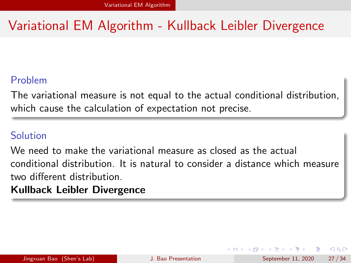## Variational EM Algorithm - Kullback Leibler Divergence

### Problem

The variational measure is not equal to the actual conditional distribution, which cause the calculation of expectation not precise.

### Solution

We need to make the variational measure as closed as the actual conditional distribution. It is natural to consider a distance which measure two different distribution.

### Kullback Leibler Divergence

 $200$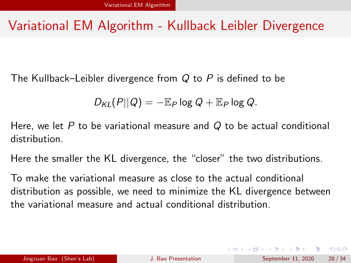### Variational EM Algorithm - Kullback Leibler Divergence

The Kullback–Leibler divergence from  $Q$  to  $P$  is defined to be

$$
D_{\mathsf{KL}}(P||Q) = -\mathbb{E}_P \log Q + \mathbb{E}_P \log Q.
$$

Here, we let  $P$  to be variational measure and  $Q$  to be actual conditional distribution.

Here the smaller the KL divergence, the "closer" the two distributions.

To make the variational measure as close to the actual conditional distribution as possible, we need to minimize the KL divergence between the variational measure and actual conditional distribution.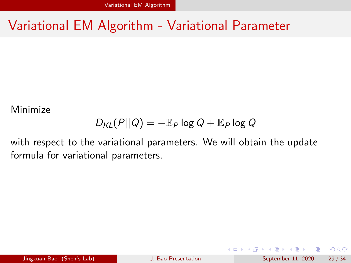### Variational EM Algorithm - Variational Parameter

Minimize

$$
D_{\mathsf{KL}}(P||Q) = -\mathbb{E}_P \log Q + \mathbb{E}_P \log Q
$$

with respect to the variational parameters. We will obtain the update formula for variational parameters.

Jingxuan Bao (Shen's Lab) [J. Bao Presentation](#page-0-0) September 11, 2020 29 / 34

G.

 $QQ$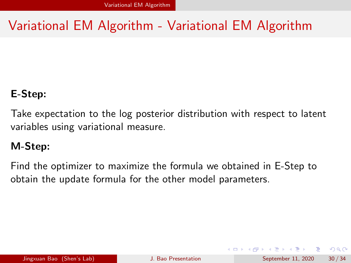## Variational EM Algorithm - Variational EM Algorithm

### E-Step:

Take expectation to the log posterior distribution with respect to latent variables using variational measure.

### M-Step:

Find the optimizer to maximize the formula we obtained in E-Step to obtain the update formula for the other model parameters.

 $\Omega$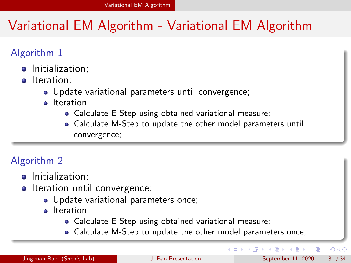## Variational EM Algorithm - Variational EM Algorithm

### Algorithm 1

- **•** Initialization:
- **o** Iteration:
	- Update variational parameters until convergence;
	- **o** Iteration:
		- Calculate E-Step using obtained variational measure;
		- Calculate M-Step to update the other model parameters until convergence;

### Algorithm 2

- **•** Initialization:
- Iteration until convergence:
	- Update variational parameters once;
	- **o** Iteration:
		- Calculate E-Step using obtained variational measure;
		- Calculate M-Step to update the other model parameters once;

 $200$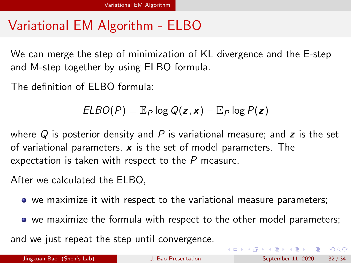## Variational EM Algorithm - ELBO

We can merge the step of minimization of KL divergence and the E-step and M-step together by using ELBO formula.

The definition of ELBO formula:

$$
ELBO(P) = \mathbb{E}_P \log Q(z, x) - \mathbb{E}_P \log P(z)
$$

where Q is posterior density and P is variational measure; and z is the set of variational parameters,  $x$  is the set of model parameters. The expectation is taken with respect to the  $P$  measure.

After we calculated the ELBO,

- we maximize it with respect to the variational measure parameters;
- we maximize the formula with respect to the other model parameters;

and we just repeat the step until convergence.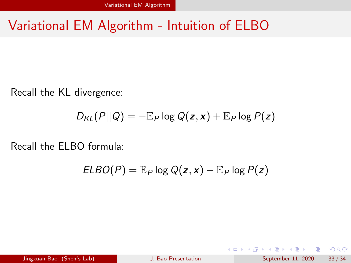### Variational EM Algorithm - Intuition of ELBO

Recall the KL divergence:

$$
D_{KL}(P||Q) = -\mathbb{E}_P \log Q(z, x) + \mathbb{E}_P \log P(z)
$$

Recall the ELBO formula:

$$
ELBO(P) = \mathbb{E}_P \log Q(z, x) - \mathbb{E}_P \log P(z)
$$

 $QQ$ 

G.

 $4$  ロ }  $4$   $\overline{m}$  }  $4$   $\overline{m}$  }  $4$   $\overline{m}$  }